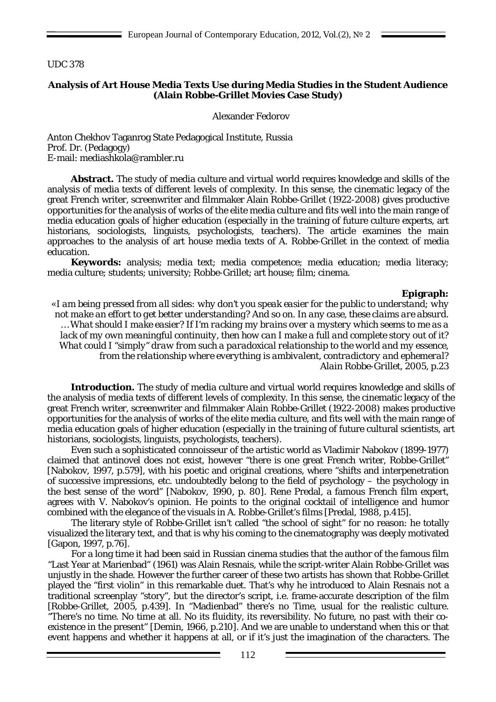## UDC 378

## **Analysis of Art House Media Texts Use during Media Studies in the Student Audience (Alain Robbe-Grillet Movies Case Study)**

Alexander Fedorov

Anton Chekhov Taganrog State Pedagogical Institute, Russia Prof. Dr. (Pedagogy) E-mail: mediashkola@rambler.ru

**Abstract.** The study of media culture and virtual world requires knowledge and skills of the analysis of media texts of different levels of complexity. In this sense, the cinematic legacy of the great French writer, screenwriter and filmmaker Alain Robbe-Grillet (1922-2008) gives productive opportunities for the analysis of works of the elite media culture and fits well into the main range of media education goals of higher education (especially in the training of future culture experts, art historians, sociologists, linguists, psychologists, teachers). The article examines the main approaches to the analysis of art house media texts of A. Robbe-Grillet in the context of media education.

**Keywords:** analysis; media text; media competence; media education; media literacy; media culture; students; university; Robbe-Grillet; art house; film; cinema.

#### **Epigraph:**

*«I am being pressed from all sides: why don't you speak easier for the public to understand; why not make an effort to get better understanding? And so on. In any case, these claims are absurd. … What should I make easier? If I'm racking my brains over a mystery which seems to me as a lack of my own meaningful continuity, then how can I make a full and complete story out of it? What could I "simply" draw from such a paradoxical relationship to the world and my essence, from the relationship where everything is ambivalent, contradictory and ephemeral? Alain Robbe-Grillet, 2005, p.23*

**Introduction.** The study of media culture and virtual world requires knowledge and skills of the analysis of media texts of different levels of complexity. In this sense, the cinematic legacy of the great French writer, screenwriter and filmmaker Alain Robbe-Grillet (1922-2008) makes productive opportunities for the analysis of works of the elite media culture, and fits well with the main range of media education goals of higher education (especially in the training of future cultural scientists, art historians, sociologists, linguists, psychologists, teachers).

Even such a sophisticated connoisseur of the artistic world as Vladimir Nabokov (1899-1977) claimed that antinovel does not exist, however "there is one great French writer, Robbe-Grillet" [Nabokov, 1997, p.579], with his poetic and original creations, where "shifts and interpenetration of successive impressions, etc. undoubtedly belong to the field of psychology – the psychology in the best sense of the word" [Nabokov, 1990, p. 80]. Rene Predal, a famous French film expert, agrees with V. Nabokov's opinion. He points to the original cocktail of intelligence and humor combined with the elegance of the visuals in A. Robbe-Grillet's films [Predal, 1988, p.415].

The literary style of Robbe-Grillet isn't called "the school of sight" for no reason: he totally visualized the literary text, and that is why his coming to the cinematography was deeply motivated [Gapon, 1997, p.76].

For a long time it had been said in Russian cinema studies that the author of the famous film "Last Year at Marienbad" (1961) was Alain Resnais, while the script-writer Alain Robbe-Grillet was unjustly in the shade. However the further career of these two artists has shown that Robbe-Grillet played the "first violin" in this remarkable duet. That's why he introduced to Alain Resnais not a traditional screenplay "story", but the director's script, i.e. frame-accurate description of the film [Robbe-Grillet, 2005, p.439]. In "Madienbad" there's no Time, usual for the realistic culture. "There's no time. No time at all. No its fluidity, its reversibility. No future, no past with their coexistence in the present" [Demin, 1966, p.210]. And we are unable to understand when this or that event happens and whether it happens at all, or if it's just the imagination of the characters. The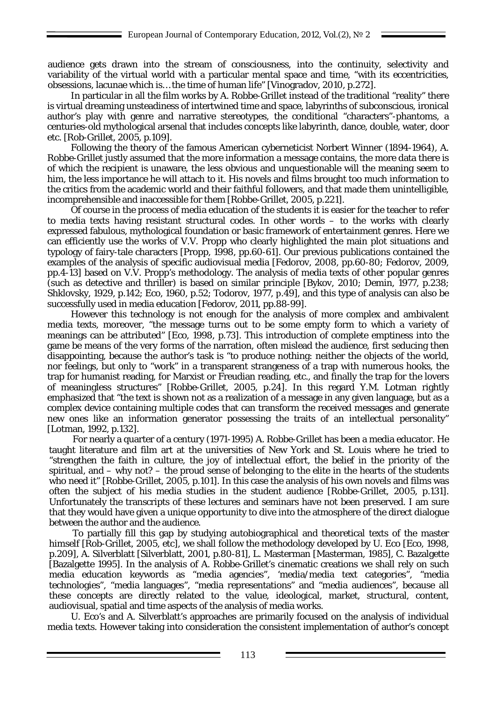audience gets drawn into the stream of consciousness, into the continuity, selectivity and variability of the virtual world with a particular mental space and time, "with its eccentricities, obsessions, lacunae which is… the time of human life" [Vinogradov, 2010, p.272].

In particular in all the film works by A. Robbe-Grillet instead of the traditional "reality" there is virtual dreaming unsteadiness of intertwined time and space, labyrinths of subconscious, ironical author's play with genre and narrative stereotypes, the conditional "characters"-phantoms, a centuries-old mythological arsenal that includes concepts like labyrinth, dance, double, water, door etc. [Rob-Grillet, 2005, p.109].

Following the theory of the famous American cyberneticist Norbert Winner (1894-1964), A. Robbe-Grillet justly assumed that the more information a message contains, the more data there is of which the recipient is unaware, the less obvious and unquestionable will the meaning seem to him, the less importance he will attach to it. His novels and films brought too much information to the critics from the academic world and their faithful followers, and that made them unintelligible, incomprehensible and inaccessible for them [Robbe-Grillet, 2005, p.221].

Of course in the process of media education of the students it is easier for the teacher to refer to media texts having resistant structural codes. In other words – to the works with clearly expressed fabulous, mythological foundation or basic framework of entertainment genres. Here we can efficiently use the works of V.V. Propp who clearly highlighted the main plot situations and typology of fairy-tale characters [Propp, 1998, pp.60-61]. Our previous publications contained the examples of the analysis of specific audiovisual media [Fedorov, 2008, pp.60-80; Fedorov, 2009, pp.4-13] based on V.V. Propp's methodology. The analysis of media texts of other popular genres (such as detective and thriller) is based on similar principle [Bykov, 2010; Demin, 1977, p.238; Shklovsky, 1929, p.142; Eco, 1960, p.52; Todorov, 1977, p.49], and this type of analysis can also be successfully used in media education [Fedorov, 2011, pp.88-99].

However this technology is not enough for the analysis of more complex and ambivalent media texts, moreover, "the message turns out to be some empty form to which a variety of meanings can be attributed" [Eco, 1998, p.73]. This introduction of complete emptiness into the game be means of the very forms of the narration, often mislead the audience, first seducing then disappointing, because the author's task is "to produce nothing: neither the objects of the world, nor feelings, but only to "work" in a transparent strangeness of a trap with numerous hooks, the trap for humanist reading, for Marxist or Freudian reading, etc., and finally the trap for the lovers of meaningless structures" [Robbe-Grillet, 2005, p.24]. In this regard Y.M. Lotman rightly emphasized that "the text is shown not as a realization of a message in any given language, but as a complex device containing multiple codes that can transform the received messages and generate new ones like an information generator possessing the traits of an intellectual personality" [Lotman, 1992, p.132].

For nearly a quarter of a century (1971-1995) A. Robbe-Grillet has been a media educator. He taught literature and film art at the universities of New York and St. Louis where he tried to "strengthen the faith in culture, the joy of intellectual effort, the belief in the priority of the spiritual, and – why not? – the proud sense of belonging to the elite in the hearts of the students who need it" [Robbe-Grillet, 2005, p.101]. In this case the analysis of his own novels and films was often the subject of his media studies in the student audience [Robbe-Grillet, 2005, p.131]. Unfortunately the transcripts of these lectures and seminars have not been preserved. I am sure that they would have given a unique opportunity to dive into the atmosphere of the direct dialogue between the author and the audience.

To partially fill this gap by studying autobiographical and theoretical texts of the master himself [Rob-Grillet, 2005, etc], we shall follow the methodology developed by U. Eco [Eco, 1998, p.209], A. Silverblatt [Silverblatt, 2001, p.80-81], L. Masterman [Masterman, 1985], C. Bazalgette [Bazalgette 1995]. In the analysis of A. Robbe-Grillet's cinematic creations we shall rely on such media education keywords as "media agencies", 'media/media text categories", "media technologies", "media languages", "media representations" and "media audiences", because all these concepts are directly related to the value, ideological, market, structural, content, audiovisual, spatial and time aspects of the analysis of media works.

U. Eco's and A. Silverblatt's approaches are primarily focused on the analysis of individual media texts. However taking into consideration the consistent implementation of author's concept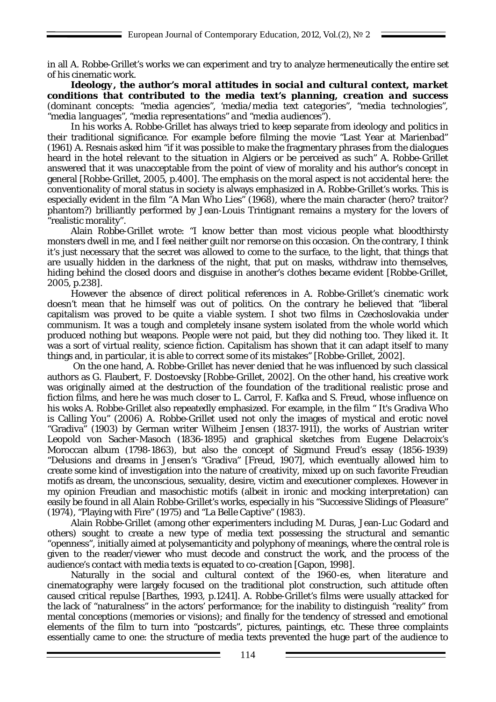in all A. Robbe-Grillet's works we can experiment and try to analyze hermeneutically the entire set of his cinematic work.

*Ideology, the author's moral attitudes in social and cultural context, market conditions that contributed to the media text's planning, creation and success (dominant concepts: "media agencies", 'media/media text categories", "media technologies", "media languages", "media representations" and "media audiences").* 

In his works A. Robbe-Grillet has always tried to keep separate from ideology and politics in their traditional significance. For example before filming the movie "Last Year at Marienbad" (1961) A. Resnais asked him "if it was possible to make the fragmentary phrases from the dialogues heard in the hotel relevant to the situation in Algiers or be perceived as such" A. Robbe-Grillet answered that it was unacceptable from the point of view of morality and his author's concept in general [Robbe-Grillet, 2005, p.400]. The emphasis on the moral aspect is not accidental here: the conventionality of moral status in society is always emphasized in A. Robbe-Grillet's works. This is especially evident in the film "A Man Who Lies" (1968), where the main character (hero? traitor? phantom?) brilliantly performed by Jean-Louis Trintignant remains a mystery for the lovers of "realistic morality".

Alain Robbe-Grillet wrote: "I know better than most vicious people what bloodthirsty monsters dwell in me, and I feel neither guilt nor remorse on this occasion. On the contrary, I think it's just necessary that the secret was allowed to come to the surface, to the light, that things that are usually hidden in the darkness of the night, that put on masks, withdraw into themselves, hiding behind the closed doors and disguise in another's clothes became evident [Robbe-Grillet, 2005, p.238].

However the absence of direct political references in A. Robbe-Grillet's cinematic work doesn't mean that he himself was out of politics. On the contrary he believed that "liberal capitalism was proved to be quite a viable system. I shot two films in Czechoslovakia under communism. It was a tough and completely insane system isolated from the whole world which produced nothing but weapons. People were not paid, but they did nothing too. They liked it. It was a sort of virtual reality, science fiction. Capitalism has shown that it can adapt itself to many things and, in particular, it is able to correct some of its mistakes" [Robbe-Grillet, 2002].

On the one hand, A. Robbe-Grillet has never denied that he was influenced by such classical authors as G. Flaubert, F. Dostoevsky [Robbe-Grillet, 2002]. On the other hand, his creative work was originally aimed at the destruction of the foundation of the traditional realistic prose and fiction films, and here he was much closer to L. Carrol, F. Kafka and S. Freud, whose influence on his woks A. Robbe-Grillet also repeatedly emphasized. For example, in the film " It's Gradiva Who is Calling You" (2006) A. Robbe-Grillet used not only the images of mystical and erotic novel "Gradiva" (1903) by German writer Wilheim Jensen (1837-1911), the works of Austrian writer Leopold von Sacher-Masoch (1836-1895) and graphical sketches from Eugene Delacroix's Moroccan album (1798-1863), but also the concept of Sigmund Freud's essay (1856-1939) "Delusions and dreams in Jensen's "Gradiva" [Freud, 1907], which eventually allowed him to create some kind of investigation into the nature of creativity, mixed up on such favorite Freudian motifs as dream, the unconscious, sexuality, desire, victim and executioner complexes. However in my opinion Freudian and masochistic motifs (albeit in ironic and mocking interpretation) can easily be found in all Alain Robbe-Grillet's works, especially in his "Successive Slidings of Pleasure" (1974), "Playing with Fire" (1975) and "La Belle Captive" (1983).

Alain Robbe-Grillet (among other experimenters including M. Duras, Jean-Luc Godard and others) sought to create a new type of media text possessing the structural and semantic "openness", initially aimed at polysemanticity and polyphony of meanings, where the central role is given to the reader/viewer who must decode and construct the work, and the process of the audience's contact with media texts is equated to co-creation [Gapon, 1998].

Naturally in the social and cultural context of the 1960-es, when literature and cinematography were largely focused on the traditional plot construction, such attitude often caused critical repulse [Barthes, 1993, p.1241]. A. Robbe-Grillet's films were usually attacked for the lack of "naturalness" in the actors' performance; for the inability to distinguish "reality" from mental conceptions (memories or visions); and finally for the tendency of stressed and emotional elements of the film to turn into "postcards", pictures, paintings, etc. These three complaints essentially came to one: the structure of media texts prevented the huge part of the audience to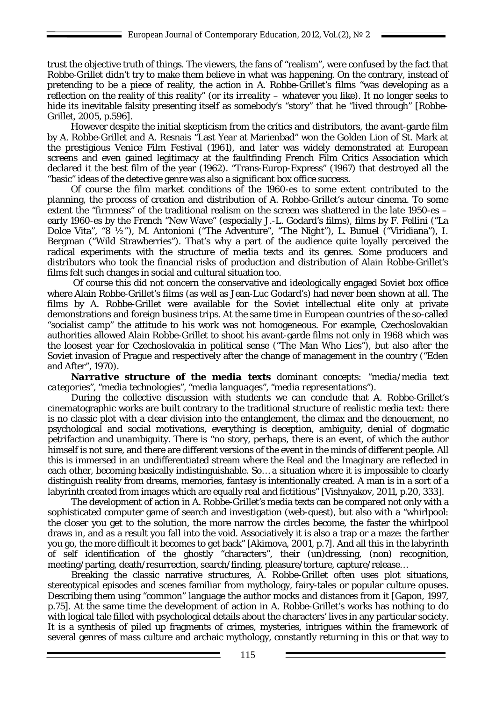trust the objective truth of things. The viewers, the fans of "realism", were confused by the fact that Robbe-Grillet didn't try to make them believe in what was happening. On the contrary, instead of pretending to be a piece of reality, the action in A. Robbe-Grillet's films "was developing as a reflection on the reality of this reality" (or its *irreality* – whatever you like). It no longer seeks to hide its inevitable falsity presenting itself as somebody's "story" that he "lived through" [Robbe-Grillet, 2005, p.596].

However despite the initial skepticism from the critics and distributors, the avant-garde film by A. Robbe-Grillet and A. Resnais "Last Year at Marienbad" won the Golden Lion of St. Mark at the prestigious Venice Film Festival (1961), and later was widely demonstrated at European screens and even gained legitimacy at the faultfinding French Film Critics Association which declared it the best film of the year (1962). "Trans-Europ-Express" (1967) that destroyed all the "basic" ideas of the detective genre was also a significant box office success.

Of course the film market conditions of the 1960-es to some extent contributed to the planning, the process of creation and distribution of A. Robbe-Grillet's auteur cinema. To some extent the "firmness" of the traditional realism on the screen was shattered in the late 1950-es – early 1960-es by the French "New Wave" (especially J.-L. Godard's films), films by F. Fellini ("La Dolce Vita", "8 ½"), M. Antonioni ("The Adventure", "The Night"), L. Bunuel ("Viridiana"), I. Bergman ("Wild Strawberries"). That's why a part of the audience quite loyally perceived the radical experiments with the structure of media texts and its genres. Some producers and distributors who took the financial risks of production and distribution of Alain Robbe-Grillet's films felt such changes in social and cultural situation too.

Of course this did not concern the conservative and ideologically engaged Soviet box office where Alain Robbe-Grillet's films (as well as Jean-Luc Godard's) had never been shown at all. The films by A. Robbe-Grillet were available for the Soviet intellectual elite only at private demonstrations and foreign business trips. At the same time in European countries of the so-called "socialist camp" the attitude to his work was not homogeneous. For example, Czechoslovakian authorities allowed Alain Robbe-Grillet to shoot his avant-garde films not only in 1968 which was the loosest year for Czechoslovakia in political sense ("The Man Who Lies"), but also after the Soviet invasion of Prague and respectively after the change of management in the country ("Eden and After", 1970).

*Narrative structure of the media texts dominant concepts:* "*media/media text categories", "media technologies", "media languages", "media representations").* 

During the collective discussion with students we can conclude that A. Robbe-Grillet's cinematographic works are built contrary to the traditional structure of realistic media text: there is no classic plot with a clear division into the entanglement, the climax and the denouement, no psychological and social motivations, everything is deception, ambiguity, denial of dogmatic petrifaction and unambiguity. There is "no story, perhaps, there is an event, of which the author himself is not sure, and there are different versions of the event in the minds of different people. All this is immersed in an undifferentiated stream where the Real and the Imaginary are reflected in each other, becoming basically indistinguishable. So… a situation where it is impossible to clearly distinguish reality from dreams, memories, fantasy is intentionally created. A man is in a sort of a labyrinth created from images which are equally real and fictitious" [Vishnyakov, 2011, p.20, 333].

The development of action in A. Robbe-Grillet's media texts can be compared not only with a sophisticated computer game of search and investigation (web-quest), but also with a "whirlpool: the closer you get to the solution, the more narrow the circles become, the faster the whirlpool draws in, and as a result you fall into the void. Associatively it is also a trap or a maze: the farther you go, the more difficult it becomes to get back" [Akimova, 2001, p.7]. And all this in the labyrinth of self identification of the ghostly "characters", their (un)dressing, (non) recognition, meeting/parting, death/resurrection, search/finding, pleasure/torture, capture/release…

Breaking the classic narrative structures, A. Robbe-Grillet often uses plot situations, stereotypical episodes and scenes familiar from mythology, fairy-tales or popular culture opuses. Describing them using "common" language the author mocks and distances from it [Gapon, 1997, p.75]. At the same time the development of action in A. Robbe-Grillet's works has nothing to do with logical tale filled with psychological details about the characters' lives in any particular society. It is a synthesis of piled up fragments of crimes, mysteries, intrigues within the framework of several genres of mass culture and archaic mythology, constantly returning in this or that way to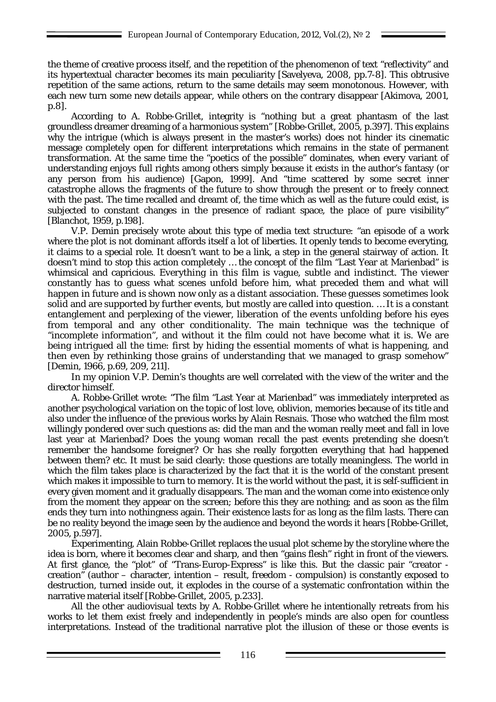the theme of creative process itself, and the repetition of the phenomenon of text "reflectivity" and its hypertextual character becomes its main peculiarity [Savelyeva, 2008, pp.7-8]. This obtrusive repetition of the same actions, return to the same details may seem monotonous. However, with each new turn some new details appear, while others on the contrary disappear [Akimova, 2001, p.8].

According to A. Robbe-Grillet, integrity is "nothing but a great phantasm of the last groundless dreamer dreaming of a harmonious system" [Robbe-Grillet, 2005, p.397]. This explains why the intrigue (which is always present in the master's works) does not hinder its cinematic message completely open for different interpretations which remains in the state of permanent transformation. At the same time the "poetics of the possible" dominates, when every variant of understanding enjoys full rights among others simply because it exists in the author's fantasy (or any person from his audience) [Gapon, 1999]. And "time scattered by some secret inner catastrophe allows the fragments of the future to show through the present or to freely connect with the past. The time recalled and dreamt of, the time which as well as the future could exist, is subjected to constant changes in the presence of radiant space, the place of pure visibility" [Blanchot, 1959, p.198].

V.P. Demin precisely wrote about this type of media text structure: "an episode of a work where the plot is not dominant affords itself a lot of liberties. It openly tends to become everyting, it claims to a special role. It doesn't want to be a link, a step in the general stairway of action. It doesn't mind to stop this action completely … the concept of the film "Last Year at Marienbad" is whimsical and capricious. Everything in this film is vague, subtle and indistinct. The viewer constantly has to guess what scenes unfold before him, what preceded them and what will happen in future and is shown now only as a distant association. These guesses sometimes look solid and are supported by further events, but mostly are called into question. … It is a constant entanglement and perplexing of the viewer, liberation of the events unfolding before his eyes from temporal and any other conditionality. The main technique was the technique of "incomplete information", and without it the film could not have become what it is. We are being intrigued all the time: first by hiding the essential moments of what is happening, and then even by rethinking those grains of understanding that we managed to grasp somehow" [Demin, 1966, p.69, 209, 211].

In my opinion V.P. Demin's thoughts are well correlated with the view of the writer and the director himself.

A. Robbe-Grillet wrote: "The film "Last Year at Marienbad" was immediately interpreted as another psychological variation on the topic of lost love, oblivion, memories because of its title and also under the influence of the previous works by Alain Resnais. Those who watched the film most willingly pondered over such questions as: did the man and the woman really meet and fall in love last year at Marienbad? Does the young woman recall the past events pretending she doesn't remember the handsome foreigner? Or has she really forgotten everything that had happened between them? etc. It must be said clearly: those questions are totally meaningless. The world in which the film takes place is characterized by the fact that it is the world of the constant present which makes it impossible to turn to memory. It is the world without the past, it is self-sufficient in every given moment and it gradually disappears. The man and the woman come into existence only from the moment they appear on the screen; before this they are nothing; and as soon as the film ends they turn into nothingness again. Their existence lasts for as long as the film lasts. There can be no reality beyond the image seen by the audience and beyond the words it hears [Robbe-Grillet, 2005, p.597].

Experimenting, Alain Robbe-Grillet replaces the usual plot scheme by the storyline where the idea is born, where it becomes clear and sharp, and then "gains flesh" right in front of the viewers. At first glance, the "plot" of "Trans-Europ-Express" is like this. But the classic pair "creator creation" (author – character, intention – result, freedom - compulsion) is constantly exposed to destruction, turned inside out, it explodes in the course of a systematic confrontation within the narrative material itself [Robbe-Grillet, 2005, p.233].

All the other audiovisual texts by A. Robbe-Grillet where he intentionally retreats from his works to let them exist freely and independently in people's minds are also open for countless interpretations. Instead of the traditional narrative plot the illusion of these or those events is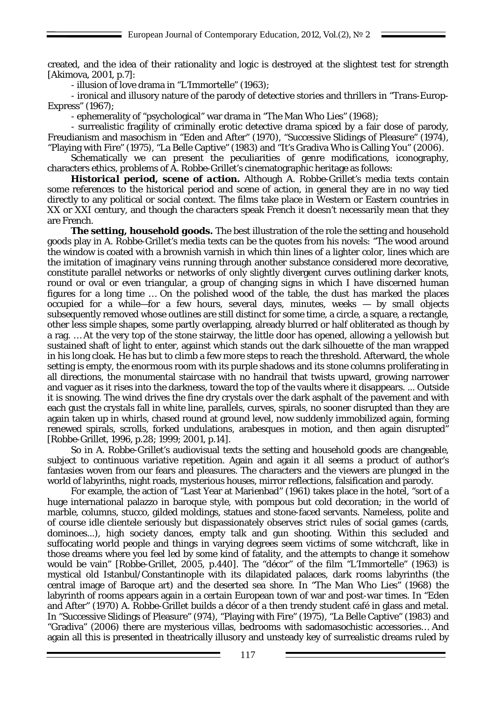created, and the idea of their rationality and logic is destroyed at the slightest test for strength [Akimova, 2001, p.7]:

- illusion of love drama in "L'Immortelle" (1963);

- ironical and illusory nature of the parody of detective stories and thrillers in "Trans-Europ-Express" (1967);

- ephemerality of "psychological" war drama in "The Man Who Lies" (1968);

- surrealistic fragility of criminally erotic detective drama spiced by a fair dose of parody, Freudianism and masochism in "Eden and After" (1970), "Successive Slidings of Pleasure" (1974), "Playing with Fire" (1975), "La Belle Captive" (1983) and "It's Gradiva Who is Calling You" (2006).

Schematically we can present the peculiarities of genre modifications, iconography, characters ethics, problems of A. Robbe-Grillet's cinematographic heritage as follows:

*Historical period, scene of action.* Although A. Robbe-Grillet's media texts contain some references to the historical period and scene of action, in general they are in no way tied directly to any political or social context. The films take place in Western or Eastern countries in XX or XXI century, and though the characters speak French it doesn't necessarily mean that they are French.

*The setting, household goods.* The best illustration of the role the setting and household goods play in A. Robbe-Grillet's media texts can be the quotes from his novels: "The wood around the window is coated with a brownish varnish in which thin lines of a lighter color, lines which are the imitation of imaginary veins running through another substance considered more decorative, constitute parallel networks or networks of only slightly divergent curves outlining darker knots, round or oval or even triangular, a group of changing signs in which I have discerned human figures for a long time … On the polished wood of the table, the dust has marked the places occupied for a while—for a few hours, several days, minutes, weeks  $-$  by small objects subsequently removed whose outlines are still distinct for some time, a circle, a square, a rectangle, other less simple shapes, some partly overlapping, already blurred or half obliterated as though by a rag. … At the very top of the stone stairway, the little door has opened, allowing a yellowish but sustained shaft of light to enter, against which stands out the dark silhouette of the man wrapped in his long cloak. He has but to climb a few more steps to reach the threshold. Afterward, the whole setting is empty, the enormous room with its purple shadows and its stone columns proliferating in all directions, the monumental staircase with no handrail that twists upward, growing narrower and vaguer as it rises into the darkness, toward the top of the vaults where it disappears. ... Outside it is snowing. The wind drives the fine dry crystals over the dark asphalt of the pavement and with each gust the crystals fall in white line, parallels, curves, spirals, no sooner disrupted than they are again taken up in whirls, chased round at ground level, now suddenly immobilized again, forming renewed spirals, scrolls, forked undulations, arabesques in motion, and then again disrupted" [Robbe-Grillet, 1996, p.28; 1999; 2001, p.14].

So in A. Robbe-Grillet's audiovisual texts the setting and household goods are changeable, subject to continuous variative repetition. Again and again it all seems a product of author's fantasies woven from our fears and pleasures. The characters and the viewers are plunged in the world of labyrinths, night roads, mysterious houses, mirror reflections, falsification and parody.

For example, the action of "Last Year at Marienbad" (1961) takes place in the hotel, "sort of a huge international palazzo in baroque style, with pompous but cold decoration; in the world of marble, columns, stucco, gilded moldings, statues and stone-faced servants. Nameless, polite and of course idle clientele seriously but dispassionately observes strict rules of social games (cards, dominoes...), high society dances, empty talk and gun shooting. Within this secluded and suffocating world people and things in varying degrees seem victims of some witchcraft, like in those dreams where you feel led by some kind of fatality, and the attempts to change it somehow would be vain" [Robbe-Grillet, 2005, p.440]. The "décor" of the film "L'Immortelle" (1963) is mystical old Istanbul/Constantinople with its dilapidated palaces, dark rooms labyrinths (the central image of Baroque art) and the deserted sea shore. In "The Man Who Lies" (1968) the labyrinth of rooms appears again in a certain European town of war and post-war times. In "Eden and After" (1970) A. Robbe-Grillet builds a décor of a then trendy student café in glass and metal. In "Successive Slidings of Pleasure" (974), "Playing with Fire" (1975), "La Belle Captive" (1983) and "Gradiva" (2006) there are mysterious villas, bedrooms with sadomasochistic accessories… And again all this is presented in theatrically illusory and unsteady key of surrealistic dreams ruled by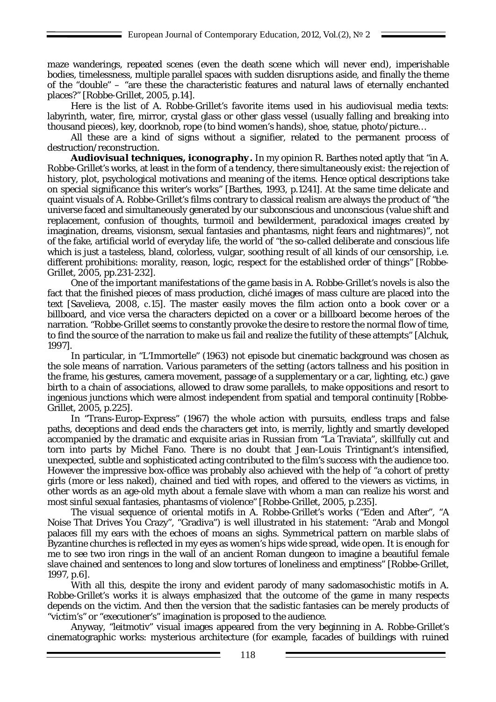maze wanderings, repeated scenes (even the death scene which will never end), imperishable bodies, timelessness, multiple parallel spaces with sudden disruptions aside, and finally the theme of the "double" – "are these the characteristic features and natural laws of eternally enchanted places?" [Robbe-Grillet, 2005, p.14].

Here is the list of A. Robbe-Grillet's favorite items used in his audiovisual media texts: labyrinth, water, fire, mirror, crystal glass or other glass vessel (usually falling and breaking into thousand pieces), key, doorknob, rope (to bind women's hands), shoe, statue, photo/picture…

All these are a kind of signs without a signifier, related to the permanent process of destruction/reconstruction.

*Audiovisual techniques, iconography.* In my opinion R. Barthes noted aptly that "in A. Robbe-Grillet's works, at least in the form of a tendency, there simultaneously exist: the rejection of history, plot, psychological motivations and meaning of the items. Hence optical descriptions take on special significance this writer's works" [Barthes, 1993, p.1241]. At the same time delicate and quaint visuals of A. Robbe-Grillet's films contrary to classical realism are always the product of "the universe faced and simultaneously generated by our subconscious and unconscious (value shift and replacement, confusion of thoughts, turmoil and bewilderment, paradoxical images created by imagination, dreams, visionsm, sexual fantasies and phantasms, night fears and nightmares)", not of the fake, artificial world of everyday life, the world of "the so-called deliberate and conscious life which is just a tasteless, bland, colorless, vulgar, soothing result of all kinds of our censorship, i.e. different prohibitions: morality, reason, logic, respect for the established order of things" [Robbe-Grillet, 2005, pp.231-232].

One of the important manifestations of the game basis in A. Robbe-Grillet's novels is also the fact that the finished pieces of mass production, cliché images of mass culture are placed into the text [Savelieva, 2008, с.15]. The master easily moves the film action onto a book cover or a billboard, and vice versa the characters depicted on a cover or a billboard become heroes of the narration. "Robbe-Grillet seems to constantly provoke the desire to restore the normal flow of time, to find the source of the narration to make us fail and realize the futility of these attempts" [Alchuk, 1997].

In particular, in "L'Immortelle" (1963) not episode but cinematic background was chosen as the sole means of narration. Various parameters of the setting (actors tallness and his position in the frame, his gestures, camera movement, passage of a supplementary or a car, lighting, etc.) gave birth to a chain of associations, allowed to draw some parallels, to make oppositions and resort to ingenious junctions which were almost independent from spatial and temporal continuity [Robbe-Grillet, 2005, p.225].

In "Trans-Europ-Express" (1967) the whole action with pursuits, endless traps and false paths, deceptions and dead ends the characters get into, is merrily, lightly and smartly developed accompanied by the dramatic and exquisite arias in Russian from "La Traviata", skillfully cut and torn into parts by Michel Fano. There is no doubt that Jean-Louis Trintignant's intensified, unexpected, subtle and sophisticated acting contributed to the film's success with the audience too. However the impressive box-office was probably also achieved with the help of "a cohort of pretty girls (more or less naked), chained and tied with ropes, and offered to the viewers as victims, in other words as an age-old myth about a female slave with whom a man can realize his worst and most sinful sexual fantasies, phantasms of violence" [Robbe-Grillet, 2005, p.235].

The visual sequence of oriental motifs in A. Robbe-Grillet's works ("Eden and After", "A Noise That Drives You Crazy", "Gradiva") is well illustrated in his statement: "Arab and Mongol palaces fill my ears with the echoes of moans an sighs. Symmetrical pattern on marble slabs of Byzantine churches is reflected in my eyes as women's hips wide spread, wide open. It is enough for me to see two iron rings in the wall of an ancient Roman dungeon to imagine a beautiful female slave chained and sentences to long and slow tortures of loneliness and emptiness" [Robbe-Grillet, 1997, p.6].

With all this, despite the irony and evident parody of many sadomasochistic motifs in A. Robbe-Grillet's works it is always emphasized that the outcome of the game in many respects depends on the victim. And then the version that the sadistic fantasies can be merely products of "victim's" or "executioner's" imagination is proposed to the audience.

Anyway, "leitmotiv" visual images appeared from the very beginning in A. Robbe-Grillet's cinematographic works: mysterious architecture (for example, facades of buildings with ruined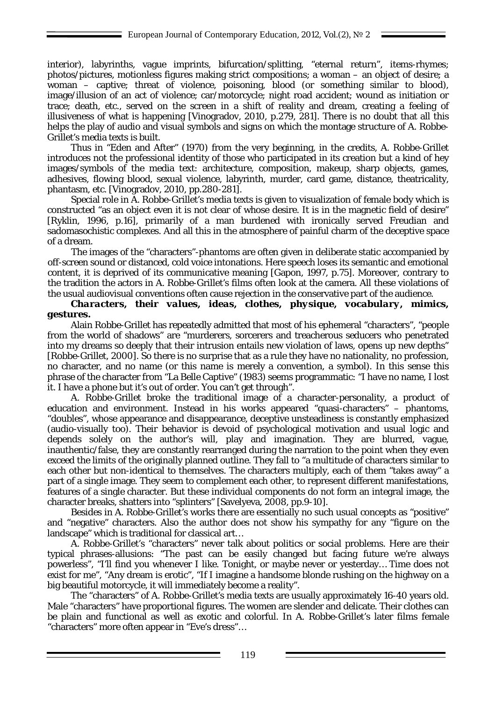interior), labyrinths, vague imprints, bifurcation/splitting, "eternal return", items-rhymes; photos/pictures, motionless figures making strict compositions; a woman – an object of desire; a woman – captive; threat of violence, poisoning, blood (or something similar to blood), image/illusion of an act of violence; car/motorcycle; night road accident; wound as initiation or trace; death, etc., served on the screen in a shift of reality and dream, creating a feeling of illusiveness of what is happening [Vinogradov, 2010, p.279, 281]. There is no doubt that all this helps the play of audio and visual symbols and signs on which the montage structure of A. Robbe-Grillet's media texts is built.

Thus in "Eden and After" (1970) from the very beginning, in the credits, A. Robbe-Grillet introduces not the professional identity of those who participated in its creation but a kind of hey images/symbols of the media text: architecture, composition, makeup, sharp objects, games, adhesives, flowing blood, sexual violence, labyrinth, murder, card game, distance, theatricality, phantasm, etc. [Vinogradov, 2010, pp.280-281].

Special role in A. Robbe-Grillet's media texts is given to visualization of female body which is constructed "as an object even it is not clear of whose desire. It is in the magnetic field of desire" [Ryklin, 1996, p.16], primarily of a man burdened with ironically served Freudian and sadomasochistic complexes. And all this in the atmosphere of painful charm of the deceptive space of a dream.

The images of the "characters"-phantoms are often given in deliberate static accompanied by off-screen sound or distanced, cold voice intonations. Here speech loses its semantic and emotional content, it is deprived of its communicative meaning [Gapon, 1997, p.75]. Moreover, contrary to the tradition the actors in A. Robbe-Grillet's films often look at the camera. All these violations of the usual audiovisual conventions often cause rejection in the conservative part of the audience.

#### *Characters, their values, ideas, clothes, physique, vocabulary, mimics, gestures.*

Alain Robbe-Grillet has repeatedly admitted that most of his ephemeral "characters", "people from the world of shadows" are "murderers, sorcerers and treacherous seducers who penetrated into my dreams so deeply that their intrusion entails new violation of laws, opens up new depths" [Robbe-Grillet, 2000]. So there is no surprise that as a rule they have no nationality, no profession, no character, and no name (or this name is merely a convention, a symbol). In this sense this phrase of the character from "La Belle Captive" (1983) seems programmatic: "I have no name, I lost it. I have a phone but it's out of order. You can't get through".

A. Robbe-Grillet broke the traditional image of a character-personality, a product of education and environment. Instead in his works appeared "quasi-characters" – phantoms, "doubles", whose appearance and disappearance, deceptive unsteadiness is constantly emphasized (audio-visually too). Their behavior is devoid of psychological motivation and usual logic and depends solely on the author's will, play and imagination. They are blurred, vague, inauthentic/false, they are constantly rearranged during the narration to the point when they even exceed the limits of the originally planned outline. They fall to "a multitude of characters similar to each other but non-identical to themselves. The characters multiply, each of them "takes away" a part of a single image. They seem to complement each other, to represent different manifestations, features of a single character. But these individual components do not form an integral image, the character breaks, shatters into "splinters" [Savelyeva, 2008, pp.9-10].

Besides in A. Robbe-Grillet's works there are essentially no such usual concepts as "positive" and "negative" characters. Also the author does not show his sympathy for any "figure on the landscape" which is traditional for classical art…

A. Robbe-Grillet's "characters" never talk about politics or social problems. Here are their typical phrases-allusions: "The past can be easily changed but facing future we're always powerless", "I'll find you whenever I like. Tonight, or maybe never or yesterday… Time does not exist for me", "Any dream is erotic", "If I imagine a handsome blonde rushing on the highway on a big beautiful motorcycle, it will immediately become a reality".

The "characters" of A. Robbe-Grillet's media texts are usually approximately 16-40 years old. Male "characters" have proportional figures. The women are slender and delicate. Their clothes can be plain and functional as well as exotic and colorful. In A. Robbe-Grillet's later films female "characters" more often appear in "Eve's dress"…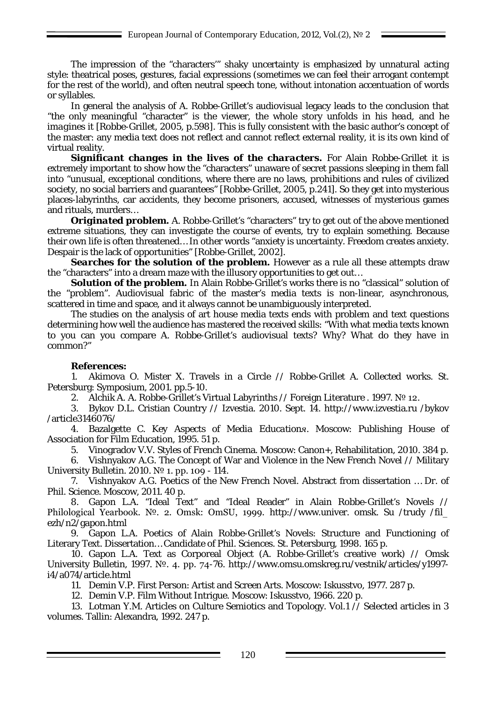The impression of the "characters'" shaky uncertainty is emphasized by unnatural acting style: theatrical poses, gestures, facial expressions (sometimes we can feel their arrogant contempt for the rest of the world), and often neutral speech tone, without intonation accentuation of words or syllables.

In general the analysis of A. Robbe-Grillet's audiovisual legacy leads to the conclusion that "the only meaningful "character" is the viewer, the whole story unfolds *in his head*, and he *imagines* it [Robbe-Grillet, 2005, p.598]. This is fully consistent with the basic author's concept of the master: any media text does not reflect and cannot reflect external reality, it is its own kind of virtual reality.

**Significant changes in the lives of the characters.** For Alain Robbe-Grillet it is extremely important to show how the "characters" unaware of secret passions sleeping in them fall into "unusual, exceptional conditions, where there are no laws, prohibitions and rules of civilized society, no social barriers and guarantees" [Robbe-Grillet, 2005, p.241]. So they get into mysterious places-labyrinths, car accidents, they become prisoners, accused, witnesses of mysterious games and rituals, murders…

**Originated problem.** A. Robbe-Grillet's "characters" try to get out of the above mentioned extreme situations, they can investigate the course of events, try to explain something. Because their own life is often threatened… In other words "anxiety is uncertainty. Freedom creates anxiety. Despair is the lack of opportunities" [Robbe-Grillet, 2002].

**Searches for the solution of the problem.** However as a rule all these attempts draw the "characters" into a dream maze with the illusory opportunities to get out…

**Solution of the problem.** In Alain Robbe-Grillet's works there is no "classical" solution of the "problem". Audiovisual fabric of the master's media texts is non-linear, asynchronous, scattered in time and space, and it always cannot be unambiguously interpreted.

The studies on the analysis of art house media texts ends with problem and text questions determining how well the audience has mastered the received skills: "With what media texts known to you can you compare A. Robbe-Grillet's audiovisual texts? Why? What do they have in common?"

# **References:**

1. Akimova O. Mister X. Travels in a Circle // Robbe-Grillet A. Collected works. St. Petersburg: Symposium, 2001. pp.5-10.

2. Alchik A. A. Robbe-Grillet's Virtual Labyrinths // Foreign Literature [. 1997.](http://magazines.russ.ru/inostran/1997/12/) № 12.

3. Bykov D.L. Cristian Country // Izvestia. 2010. Sept. 14. http://www.izvestia.ru /bykov /article3146076/

4. Bazalgette C. *Key Aspects of Media Educationя.* Moscow: Publishing House of Association for Film Education, 1995. 51 p.

5. Vinogradov V.V. Styles of French Cinema. Moscow: Canon+, Rehabilitation, 2010. 384 p.

6. Vishnyakov A.G. The Concept of War and Violence in the New French Novel // Military University Bulletin. 2010. № 1. pp. 109 - 114.

7. Vishnyakov A.G. Poetics of the New French Novel. Abstract from dissertation … Dr. of Phil. Science. Moscow, 2011. 40 p.

8. Gapon L.A. "Ideal Text" and "Ideal Reader" in Alain Robbe-Grillet's Novels // Philological Yearbook. №. 2. Omsk: OmSU, 1999. http://www.univer. omsk. Su /trudy /fil\_ ezh/n2/gapon.html

9. Gapon L.A. Poetics of Alain Robbe-Grillet's Novels: Structure and Functioning of Literary Text. Dissertation… Candidate of Phil. Sciences. St. Petersburg, 1998. 165 p.

10. Gapon L.A. Text as Corporeal Object (A. Robbe-Grillet's creative work) // Omsk University Bulletin, 1997. №. 4. pp. 74-76. [http://www.omsu.omskreg.ru/vestnik/articles/y1997](http://www.omsu.omskreg.ru/vestnik/articles/y1997-i4/a074/article.html) [i4/a074/article.html](http://www.omsu.omskreg.ru/vestnik/articles/y1997-i4/a074/article.html)

11. Demin V.P. First Person: Artist and Screen Arts. Moscow: Iskusstvo, 1977. 287 p.

12. Demin V.P. Film Without Intrigue. Moscow: Iskusstvo, 1966. 220 p.

13. Lotman Y.M. Articles on Culture Semiotics and Topology. Vol.1  $\bar{1}$  Selected articles in 3 volumes. Tallin: Alexandra, 1992. 247 p.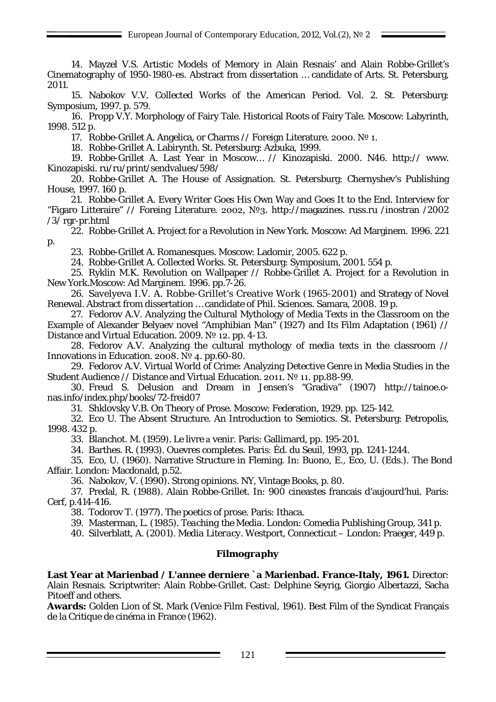14. Mayzel V.S. Artistic Models of Memory in Alain Resnais' and Alain Robbe-Grillet's Cinematography of 1950-1980-es. Abstract from dissertation … candidate of Arts. St. Petersburg, 2011.

15. Nabokov V.V. Collected Works of the American Period. Vol. 2. St. Petersburg: Symposium, 1997. p. 579.

16. Propp V.Y. Morphology of Fairy Tale. Historical Roots of Fairy Tale. Moscow: Labyrinth, 1998. 512 p.

17. Robbe-Grillet A. Angelica, or Charms // Foreign Literature. 2000. № 1.

18. Robbe-Grillet A. Labirynth. St. Petersburg: Azbuka, 1999.

19. Robbe-Grillet A. Last Year in Moscow… // Kinozapiski. 2000. N46. http:// www. Kinozapiski. ru/ru/print/sendvalues/598/

20. Robbe-Grillet A. The House of Assignation. St. Petersburg: Chernyshev's Publishing House, 1997. 160 p.

21. Robbe-Grillet A. Every Writer Goes His Own Way and Goes It to the End. Interview for "Figaro Litteraire" // Foreing Literature. 2002, №3. http://magazines. russ.ru /inostran /2002 /3/ rgr-pr.html

22. Robbe-Grillet A. Project for a Revolution in New York. Moscow: Ad Marginem. 1996. 221 p.

23. Robbe-Grillet A. Romanesques. Moscow: Ladomir, 2005. 622 p.

24. Robbe-Grillet A. Collected Works. St. Petersburg: Symposium, 2001. 554 p.

25. Ryklin M.K. Revolution on Wallpaper // Robbe-Grillet A. Project for a Revolution in New York.Moscow: Ad Marginem. 1996. pp.7-26.

26. Savelyeva I.V. A. Robbe-Grillet's Creative Work (1965-2001) and Strategy of Novel Renewal. Abstract from dissertation … candidate of Phil. Sciences. Samara, 2008. 19 p.

27. Fedorov A.V. Analyzing the Cultural Mythology of Media Texts in the Classroom on the Example of Alexander Belyaev novel "Amphibian Man" [\(1927\) and Its Film Adaptation \(1961\)](http://elibrary.ru/item.asp?id=12971475) // Distance and Virtual Education[. 2009.](http://elibrary.ru/issues.asp?id=8657&jyear=2009&selid=646865) [№ 12](http://elibrary.ru/contents.asp?id=646865&selid=12971475). pp. 4-13.

28. Fedorov A.V. Analyzing the cultural mythology of media texts in the classroom // Innovations in Education. 2008. № 4. pp.60-80.

29. Fedorov A.V. Virtual World of Crime: Analyzing Detective Genre in Media Studies in the Student Audience // Distance and Virtual Education. 2011. № 11. pp.88-99.

30. Freud S. Delusion and Dream in Jensen's "Gradiva" (1907) [http://tainoe.o](http://tainoe.o-nas.info/index.php/books/72-freid07)[nas.info/index.php/books/72-freid07](http://tainoe.o-nas.info/index.php/books/72-freid07)

31. Shklovsky V.B. On Theory of Prose. Moscow: Federation, 1929. pp. 125-142.

32. Eco U. The Absent Structure. An Introduction to Semiotics. St. Petersburg: Petropolis, 1998. 432 p.

33. Blanchot. M. (1959). Le livre а venir. Paris: Gallimard, pp. 195-201.

34. Barthes. R. (1993). Ouevres completes. Paris: Éd. du Seuil, 1993, pp. 1241-1244.

35. Eco, U. (1960). Narrative Structure in Fleming. In: Buono, E., Eco, U. (Eds.). The Bond Affair. London: Macdonald, p.52.

36. Nabokov, V. (1990). Strong opinions. NY, Vintage Books, p. 80.

37. Predal, R. (1988). Alain Robbe-Grillet. In: 900 cineastes francais d'aujourd'hui. Paris: Cerf, p.414-416.

38. Todorov T. (1977). The poetics of prose. Paris: Ithaca.

39. Masterman, L. (1985). *Teaching the Media.* London: Comedia Publishing Group, 341 p.

40. Silverblatt, A. (2001). *Media Literacy.* Westport, Connecticut – London: Praeger, 449 p.

# *Filmography*

Last Year at Marienbad / L'annee derniere `a Marienbad. France-Italy, 1961. Director: Alain Resnais. Scriptwriter: Alain Robbe-Grillet. Cast: Delphine Seyrig, Giorgio Albertazzi, Sacha Pitoeff and others.

**Awards:** Golden Lion of St. Mark (Venice Film Festival, 1961). Best Film of the [Syndicat Français](http://en.wikipedia.org/wiki/French_Syndicate_of_Cinema_Critics)  [de la Critique de cinéma](http://en.wikipedia.org/wiki/French_Syndicate_of_Cinema_Critics) in France (1962).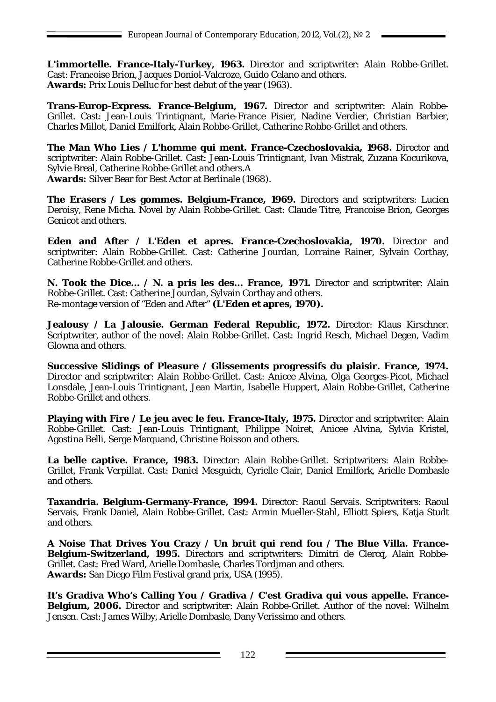**L'immortelle. France-Italy-Turkey, 1963.** Director and scriptwriter: Alain Robbe-Grillet. Cast: Franсoise Brion, Jacques Doniol-Valcroze, Guido Celano and others. **Awards:** Prix Louis Delluc for best debut of the year (1963).

**Trans-Europ-Express. France-Belgium, 1967.** Director and scriptwriter: Alain Robbe-Grillet. Cast: Jean-Louis Trintignant, Marie-France Pisier, Nadine Verdier, Christian Barbier, Charles Millot, Daniel Emilfork, Alain Robbe-Grillet, Catherine Robbe-Grillet and others.

**The Man Who Lies / L'homme qui ment. France-Czechoslovakia, 1968.** Director and scriptwriter: Alain Robbe-Grillet. Cast: Jean-Louis Trintignant, Ivan Mistrak, Zuzana Kocurikova, Sylvie Breal, Catherine Robbe-Grillet and others.A **Awards:** Silver Bear for Best Actor at Berlinale (1968).

**The Erasers / Les gommes. Belgium-France, 1969.** Directors and scriptwriters: Lucien Deroisy, Rene Micha. Novel by Alain Robbe-Grillet. Cast: Claude Titre, Francoise Brion, Georges Genicot and others.

**Eden and After / L'Eden et apres. France-Czechoslovakia, 1970.** Director and scriptwriter: Alain Robbe-Grillet. Cast: Catherine Jourdan, Lorraine Rainer, Sylvain Corthay, Catherine Robbe-Grillet and others.

**N. Took the Dice… / N. a pris les des... France, 1971.** Director and scriptwriter: Alain Robbe-Grillet. Cast: Catherine Jourdan, Sylvain Corthay and others. Re-montage version of "Eden and After" **(L'Eden et apres, 1970).**

**Jealousy / La Jalousie. German Federal Republic, 1972.** Director: Klaus Kirschner. Scriptwriter, author of the novel: Alain Robbe-Grillet. Cast: Ingrid Resch, Michael Degen, Vadim Glowna and others.

**Successive Slidings of Pleasure / Glissements progressifs du plaisir. France, 1974.**  Director and scriptwriter: Alain Robbe-Grillet. Cast: Anicee Alvina, Olga Georges-Picot, Michael Lonsdale, Jean-Louis Trintignant, Jean Martin, Isabelle Huppert, Alain Robbe-Grillet, Catherine Robbe-Grillet and others.

**Playing with Fire / Le jeu avec le feu. France-Italy, 1975.** Director and scriptwriter: Alain Robbe-Grillet. Cast: Jean-Louis Trintignant, Philippe Noiret, Anicee Alvina, Sylvia Kristel, Agostina Belli, Serge Marquand, Christine Boisson and others.

**La belle captive. France, 1983.** Director: Alain Robbe-Grillet. Scriptwriters: Alain Robbe-Grillet, Frank Verpillat. Cast: Daniel Mesguich, Cyrielle Clair, Daniel Emilfork, Arielle Dombasle and others.

**Taxandria. Belgium-Germany-France, 1994.** Director: Raoul Servais. Scriptwriters: Raoul Servais, Frank Daniel, Alain Robbe-Grillet. Cast: Armin Mueller-Stahl, Elliott Spiers, Katja Studt and others.

**A Noise That Drives You Crazy / Un bruit qui rend fou / The Blue Villa. France-Belgium-Switzerland, 1995.** Directors and scriptwriters: Dimitri de Clercq, Alain Robbe-Grillet. Cast: Fred Ward, Arielle Dombasle, Charles Tordjman and others. **Awards:** San Diego Film Festival grand prix, USA (1995).

**It's Gradiva Who's Calling You / Gradiva / C'est Gradiva qui vous appelle. France-Belgium, 2006.** Director and scriptwriter: Alain Robbe-Grillet. Author of the novel: Wilhelm Jensen. Cast: James Wilby, Arielle Dombasle, Dany Verissimo and others.